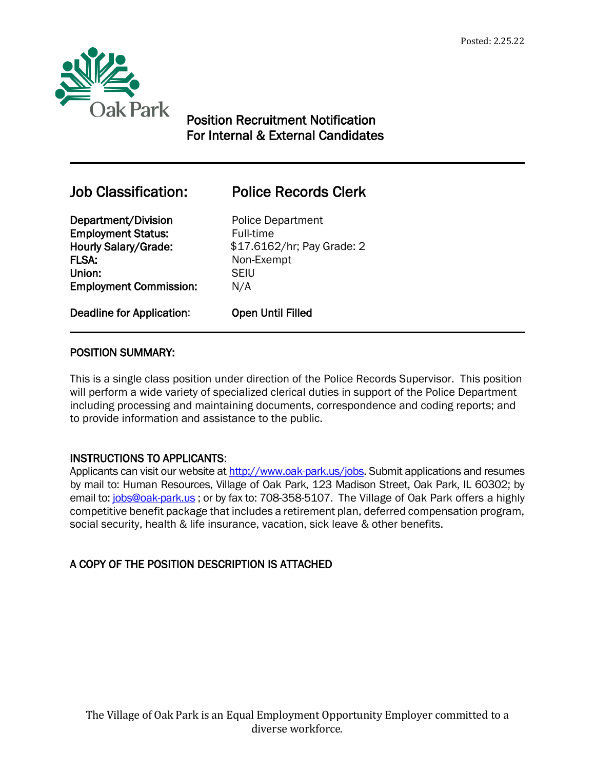

 $\overline{a}$ 

# Position Recruitment Notification For Internal & External Candidates

# Job Classification: Police Records Clerk

Department/Division Police Department Employment Status: Full-time FLSA: Non-Exempt Union: SEIU Employment Commission: N/A

Hourly Salary/Grade: \$17.6162/hr; Pay Grade: 2

Deadline for Application: Open Until Filled

## POSITION SUMMARY:

This is a single class position under direction of the Police Records Supervisor. This position will perform a wide variety of specialized clerical duties in support of the Police Department including processing and maintaining documents, correspondence and coding reports; and to provide information and assistance to the public.

## INSTRUCTIONS TO APPLICANTS:

Applicants can visit our website a[t http://www.oak-park.us/j](http://www.oak-park.us/)obs. Submit applications and resumes by mail to: Human Resources, Village of Oak Park, 123 Madison Street, Oak Park, IL 60302; by email to: [jobs@oak-park.us](mailto:jobs@oak-park.us) ; or by fax to: 708-358-5107. The Village of Oak Park offers a highly competitive benefit package that includes a retirement plan, deferred compensation program, social security, health & life insurance, vacation, sick leave & other benefits.

## A COPY OF THE POSITION DESCRIPTION IS ATTACHED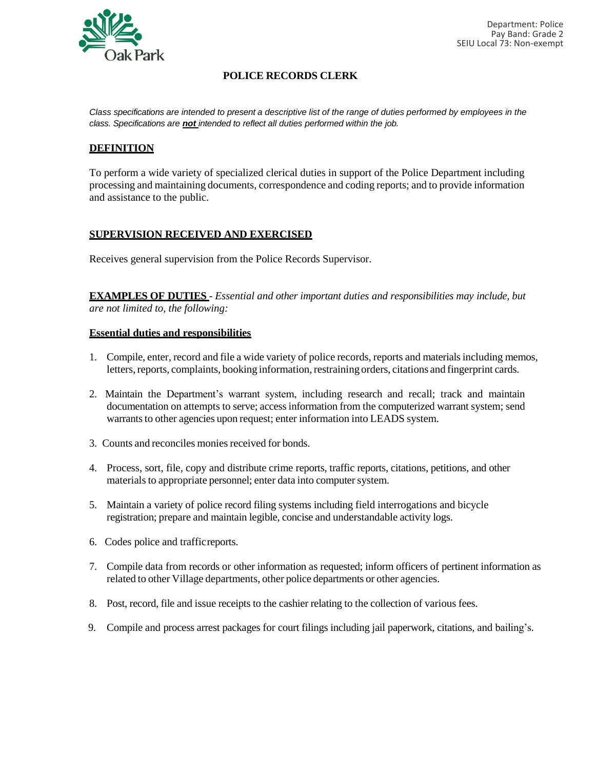

#### **POLICE RECORDS CLERK**

*Class specifications are intended to present a descriptive list of the range of duties performed by employees in the class. Specifications are not intended to reflect all duties performed within the job.*

#### **DEFINITION**

To perform a wide variety of specialized clerical duties in support of the Police Department including processing and maintaining documents, correspondence and coding reports; and to provide information and assistance to the public.

#### **SUPERVISION RECEIVED AND EXERCISED**

Receives general supervision from the Police Records Supervisor.

**EXAMPLES OF DUTIES** - *Essential and other important duties and responsibilities may include, but are not limited to, the following:*

#### **Essential duties and responsibilities**

- 1. Compile, enter, record and file a wide variety of police records, reports and materials including memos, letters, reports, complaints, booking information, restraining orders, citations and fingerprint cards.
- 2. Maintain the Department's warrant system, including research and recall; track and maintain documentation on attempts to serve; access information from the computerized warrant system; send warrants to other agencies upon request; enter information into LEADS system.
- 3. Counts and reconciles monies received for bonds.
- 4. Process, sort, file, copy and distribute crime reports, traffic reports, citations, petitions, and other materials to appropriate personnel; enter data into computer system.
- 5. Maintain a variety of police record filing systems including field interrogations and bicycle registration; prepare and maintain legible, concise and understandable activity logs.
- 6. Codes police and trafficreports.
- 7. Compile data from records or other information as requested; inform officers of pertinent information as related to other Village departments, other police departments or other agencies.
- 8. Post, record, file and issue receipts to the cashier relating to the collection of various fees.
- 9. Compile and process arrest packages for court filings including jail paperwork, citations, and bailing's.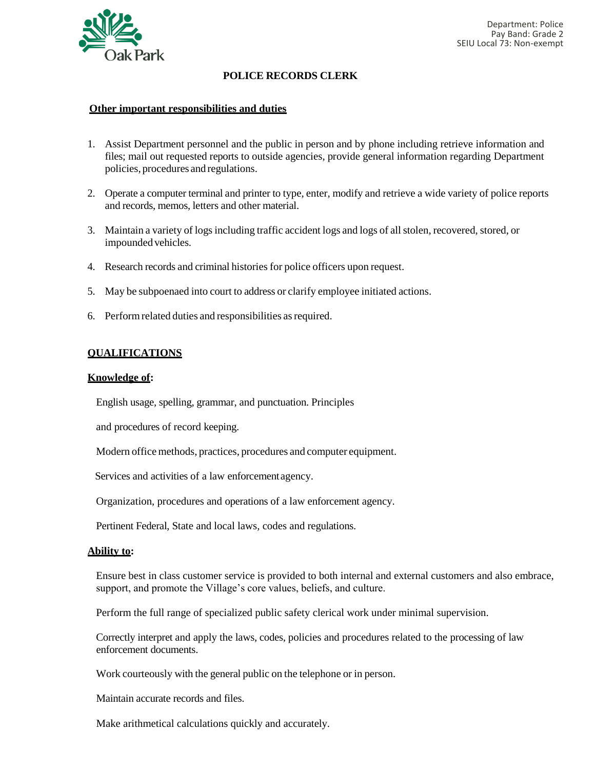

### **POLICE RECORDS CLERK**

#### **Other important responsibilities and duties**

- 1. Assist Department personnel and the public in person and by phone including retrieve information and files; mail out requested reports to outside agencies, provide general information regarding Department policies, procedures and regulations.
- 2. Operate a computer terminal and printer to type, enter, modify and retrieve a wide variety of police reports and records, memos, letters and other material.
- 3. Maintain a variety of logs including traffic accident logs and logs of all stolen, recovered, stored, or impounded vehicles.
- 4. Research records and criminal histories for police officers upon request.
- 5. May be subpoenaed into court to address or clarify employee initiated actions.
- 6. Performrelated duties and responsibilities asrequired.

#### **QUALIFICATIONS**

#### **Knowledge of:**

English usage, spelling, grammar, and punctuation. Principles

and procedures of record keeping.

Modern office methods, practices, procedures and computer equipment.

Services and activities of a law enforcementagency.

Organization, procedures and operations of a law enforcement agency.

Pertinent Federal, State and local laws, codes and regulations.

#### **Ability to:**

Ensure best in class customer service is provided to both internal and external customers and also embrace, support, and promote the Village's core values, beliefs, and culture.

Perform the full range of specialized public safety clerical work under minimal supervision.

Correctly interpret and apply the laws, codes, policies and procedures related to the processing of law enforcement documents.

Work courteously with the general public on the telephone or in person.

Maintain accurate records and files.

Make arithmetical calculations quickly and accurately.